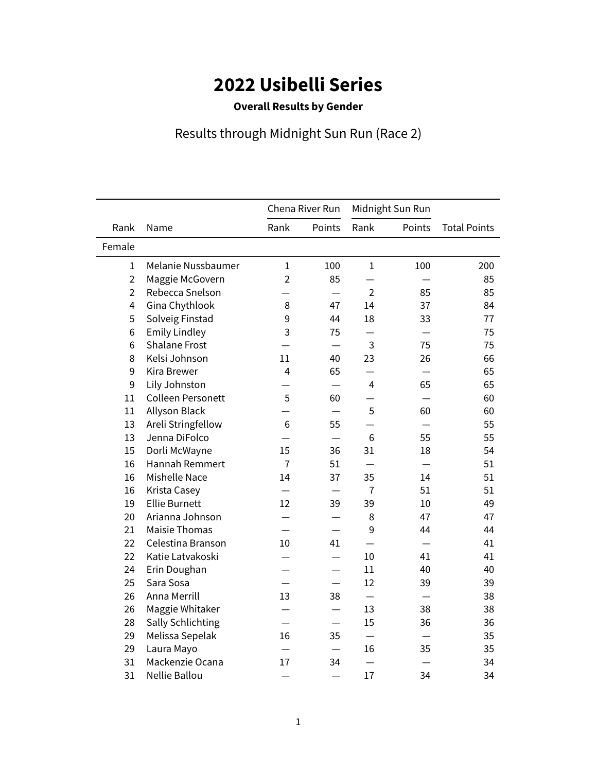## **2022 Usibelli Series**

## **Overall Results by Gender**

## Results through Midnight Sun Run (Race 2)

|                |                          | Chena River Run |                          | Midnight Sun Run |        |                     |
|----------------|--------------------------|-----------------|--------------------------|------------------|--------|---------------------|
| Rank           | Name                     | Rank            | Points                   | Rank             | Points | <b>Total Points</b> |
| Female         |                          |                 |                          |                  |        |                     |
| 1              | Melanie Nussbaumer       | $\mathbf{1}$    | 100                      | $\mathbf{1}$     | 100    | 200                 |
| $\overline{2}$ | Maggie McGovern          | $\overline{2}$  | 85                       |                  |        | 85                  |
| $\overline{2}$ | Rebecca Snelson          |                 |                          | $\overline{2}$   | 85     | 85                  |
| 4              | Gina Chythlook           | 8               | 47                       | 14               | 37     | 84                  |
| 5              | Solveig Finstad          | 9               | 44                       | 18               | 33     | 77                  |
| 6              | <b>Emily Lindley</b>     | 3               | 75                       |                  |        | 75                  |
| 6              | <b>Shalane Frost</b>     |                 |                          | 3                | 75     | 75                  |
| 8              | Kelsi Johnson            | 11              | 40                       | 23               | 26     | 66                  |
| 9              | <b>Kira Brewer</b>       | $\overline{4}$  | 65                       |                  |        | 65                  |
| 9              | Lily Johnston            |                 |                          | $\overline{4}$   | 65     | 65                  |
| 11             | <b>Colleen Personett</b> | 5               | 60                       |                  |        | 60                  |
| 11             | Allyson Black            |                 |                          | 5                | 60     | 60                  |
| 13             | Areli Stringfellow       | 6               | 55                       |                  |        | 55                  |
| 13             | Jenna DiFolco            |                 |                          | 6                | 55     | 55                  |
| 15             | Dorli McWayne            | 15              | 36                       | 31               | 18     | 54                  |
| 16             | <b>Hannah Remmert</b>    | $\overline{7}$  | 51                       |                  |        | 51                  |
| 16             | <b>Mishelle Nace</b>     | 14              | 37                       | 35               | 14     | 51                  |
| 16             | Krista Casey             |                 |                          | $\overline{7}$   | 51     | 51                  |
| 19             | <b>Ellie Burnett</b>     | 12              | 39                       | 39               | 10     | 49                  |
| 20             | Arianna Johnson          |                 |                          | 8                | 47     | 47                  |
| 21             | <b>Maisie Thomas</b>     |                 |                          | 9                | 44     | 44                  |
| 22             | Celestina Branson        | 10              | 41                       |                  |        | 41                  |
| 22             | Katie Latvakoski         |                 |                          | 10               | 41     | 41                  |
| 24             | Erin Doughan             |                 |                          | 11               | 40     | 40                  |
| 25             | Sara Sosa                |                 | $\overline{\phantom{0}}$ | 12               | 39     | 39                  |
| 26             | Anna Merrill             | 13              | 38                       |                  |        | 38                  |
| 26             | Maggie Whitaker          |                 |                          | 13               | 38     | 38                  |
| 28             | <b>Sally Schlichting</b> |                 |                          | 15               | 36     | 36                  |
| 29             | Melissa Sepelak          | 16              | 35                       |                  |        | 35                  |
| 29             | Laura Mayo               |                 |                          | 16               | 35     | 35                  |
| 31             | Mackenzie Ocana          | 17              | 34                       |                  |        | 34                  |
| 31             | Nellie Ballou            |                 |                          | 17               | 34     | 34                  |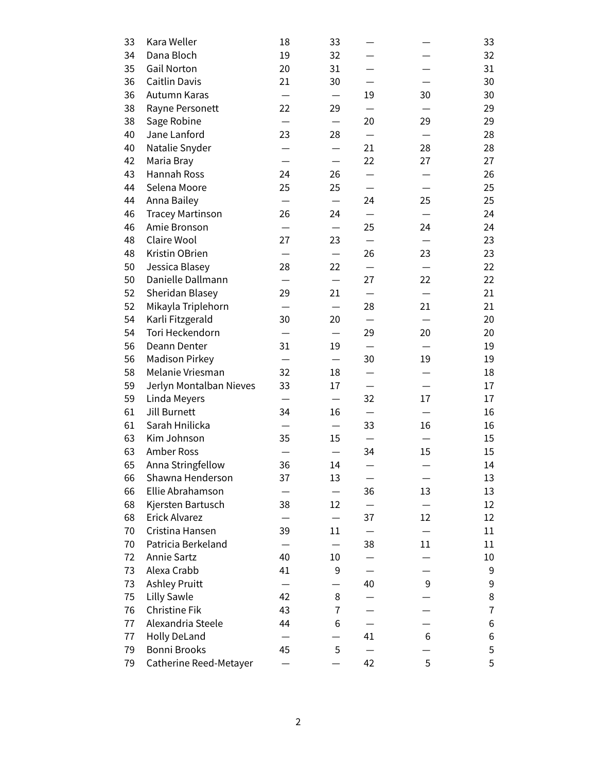| 33 | Kara Weller             | 18 | 33                                |    |                  | 33 |
|----|-------------------------|----|-----------------------------------|----|------------------|----|
| 34 | Dana Bloch              | 19 | 32                                |    |                  | 32 |
| 35 | <b>Gail Norton</b>      | 20 | 31                                |    |                  | 31 |
| 36 | Caitlin Davis           | 21 | 30                                |    |                  | 30 |
| 36 | Autumn Karas            |    |                                   | 19 | 30               | 30 |
| 38 | Rayne Personett         | 22 | 29                                |    |                  | 29 |
| 38 | Sage Robine             |    |                                   | 20 | 29               | 29 |
| 40 | Jane Lanford            | 23 | 28                                |    |                  | 28 |
| 40 | Natalie Snyder          |    |                                   | 21 | 28               | 28 |
| 42 | Maria Bray              |    |                                   | 22 | 27               | 27 |
| 43 | Hannah Ross             | 24 | 26                                |    |                  | 26 |
| 44 | Selena Moore            | 25 | 25                                |    |                  | 25 |
| 44 | Anna Bailey             |    | $\overbrace{\phantom{123221111}}$ | 24 | 25               | 25 |
| 46 | <b>Tracey Martinson</b> | 26 | 24                                |    |                  | 24 |
| 46 | Amie Bronson            |    |                                   | 25 | 24               | 24 |
| 48 | Claire Wool             | 27 | 23                                |    |                  | 23 |
| 48 | Kristin OBrien          |    |                                   | 26 | 23               | 23 |
| 50 | Jessica Blasey          | 28 | 22                                |    |                  | 22 |
| 50 | Danielle Dallmann       |    |                                   | 27 | 22               | 22 |
| 52 | Sheridan Blasey         | 29 | 21                                |    |                  | 21 |
| 52 | Mikayla Triplehorn      |    | —                                 | 28 | 21               | 21 |
| 54 | Karli Fitzgerald        | 30 | 20                                |    |                  | 20 |
| 54 | Tori Heckendorn         |    |                                   | 29 | 20               | 20 |
| 56 | Deann Denter            | 31 | 19                                |    |                  | 19 |
| 56 | <b>Madison Pirkey</b>   |    |                                   | 30 | 19               | 19 |
| 58 | Melanie Vriesman        | 32 | 18                                |    |                  | 18 |
| 59 | Jerlyn Montalban Nieves | 33 | 17                                |    |                  | 17 |
| 59 | Linda Meyers            |    |                                   | 32 | 17               | 17 |
| 61 | Jill Burnett            | 34 | 16                                |    |                  | 16 |
| 61 | Sarah Hnilicka          |    |                                   | 33 | 16               | 16 |
| 63 | Kim Johnson             | 35 | 15                                |    |                  | 15 |
| 63 | Amber Ross              |    |                                   | 34 | 15               | 15 |
| 65 | Anna Stringfellow       | 36 | 14                                |    |                  | 14 |
| 66 | Shawna Henderson        | 37 | 13                                |    |                  | 13 |
| 66 | Ellie Abrahamson        |    |                                   | 36 | 13               | 13 |
| 68 | Kjersten Bartusch       | 38 | 12                                |    |                  | 12 |
| 68 | Erick Alvarez           |    |                                   | 37 | 12               | 12 |
| 70 | Cristina Hansen         | 39 | 11                                |    |                  | 11 |
| 70 | Patricia Berkeland      |    |                                   | 38 | 11               | 11 |
| 72 | Annie Sartz             | 40 | 10                                |    |                  | 10 |
| 73 | Alexa Crabb             | 41 | 9                                 |    |                  | 9  |
| 73 | <b>Ashley Pruitt</b>    |    |                                   | 40 | $\boldsymbol{9}$ | 9  |
| 75 | <b>Lilly Sawle</b>      | 42 | 8                                 |    |                  | 8  |
| 76 | Christine Fik           | 43 | 7                                 |    |                  | 7  |
| 77 | Alexandria Steele       | 44 | 6                                 |    |                  | 6  |
| 77 | Holly DeLand            |    |                                   | 41 | 6                | 6  |
| 79 | Bonni Brooks            | 45 | 5                                 |    |                  | 5  |
| 79 | Catherine Reed-Metayer  |    |                                   | 42 | 5                | 5  |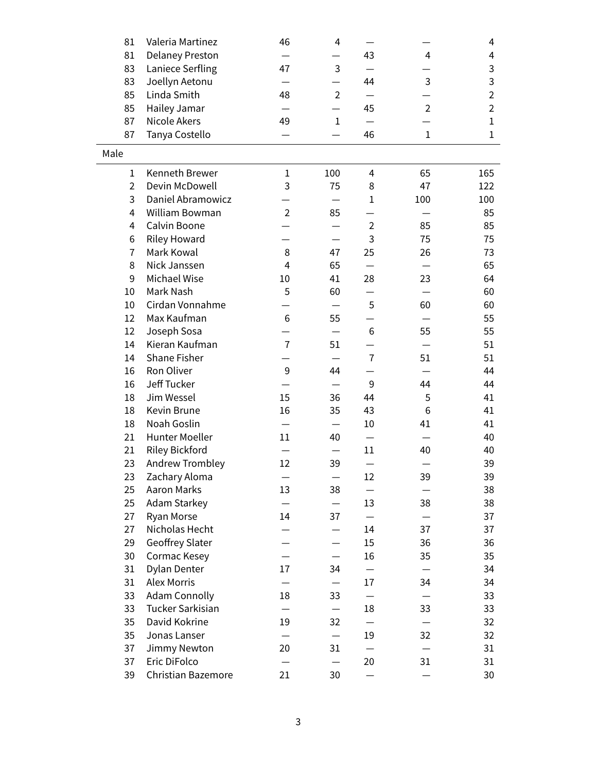| 81             | Valeria Martinez          | 46                       | 4              |                |                | 4              |
|----------------|---------------------------|--------------------------|----------------|----------------|----------------|----------------|
| 81             | Delaney Preston           |                          |                | 43             | 4              | 4              |
| 83             | Laniece Serfling          | 47                       | 3              |                |                | 3              |
| 83             | Joellyn Aetonu            |                          |                | 44             | 3              | 3              |
| 85             | Linda Smith               | 48                       | $\overline{2}$ |                |                | $\overline{2}$ |
| 85             | Hailey Jamar              |                          |                | 45             | $\overline{2}$ | $\overline{2}$ |
| 87             | <b>Nicole Akers</b>       | 49                       | $\mathbf{1}$   |                |                | $\mathbf{1}$   |
| 87             | Tanya Costello            |                          |                | 46             | $\mathbf{1}$   | $\mathbf{1}$   |
| Male           |                           |                          |                |                |                |                |
| 1              | Kenneth Brewer            | $\mathbf{1}$             | 100            | 4              | 65             | 165            |
| $\overline{2}$ | Devin McDowell            | 3                        | 75             | 8              | 47             | 122            |
| 3              | Daniel Abramowicz         |                          |                | $\mathbf{1}$   | 100            | 100            |
| 4              | William Bowman            | $\overline{2}$           | 85             |                |                | 85             |
| 4              | Calvin Boone              |                          |                | $\overline{2}$ | 85             | 85             |
| 6              | <b>Riley Howard</b>       |                          |                | 3              | 75             | 75             |
| 7              | Mark Kowal                | 8                        | 47             | 25             | 26             | 73             |
| 8              | Nick Janssen              | $\overline{\mathcal{A}}$ | 65             |                |                | 65             |
| 9              | Michael Wise              | 10                       | 41             | 28             | 23             | 64             |
| 10             | Mark Nash                 | 5                        | 60             |                |                | 60             |
| 10             | Cirdan Vonnahme           |                          |                | 5              | 60             | 60             |
| 12             | Max Kaufman               | 6                        | 55             |                |                | 55             |
| 12             | Joseph Sosa               |                          |                | 6              | 55             | 55             |
| 14             | Kieran Kaufman            | $\overline{7}$           | 51             |                |                | 51             |
| 14             | <b>Shane Fisher</b>       |                          |                | $\overline{7}$ | 51             | 51             |
| 16             | Ron Oliver                | $\mathsf 9$              | 44             |                |                | 44             |
| 16             | Jeff Tucker               |                          |                | 9              | 44             | 44             |
| 18             | Jim Wessel                | 15                       | 36             | 44             | 5              | 41             |
| 18             | Kevin Brune               | 16                       | 35             | 43             | 6              | 41             |
| 18             | Noah Goslin               |                          |                | 10             | 41             | 41             |
| 21             | Hunter Moeller            | 11                       | 40             |                |                | 40             |
| 21             | Riley Bickford            |                          |                | 11             | 40             | 40             |
| 23             | Andrew Trombley           | 12                       | 39             |                |                | 39             |
| 23             | Zachary Aloma             |                          |                | 12             | 39             | 39             |
| 25             | Aaron Marks               | 13                       | 38             |                |                | 38             |
| 25             | <b>Adam Starkey</b>       |                          |                | 13             | 38             | 38             |
| 27             | Ryan Morse                | 14                       | 37             |                |                | 37             |
| 27             | Nicholas Hecht            |                          |                | 14             | 37             | 37             |
| 29             | Geoffrey Slater           |                          |                | 15             | 36             | 36             |
| 30             | Cormac Kesey              |                          |                | 16             | 35             | 35             |
| 31             | Dylan Denter              | 17                       | 34             |                |                | 34             |
| 31             | <b>Alex Morris</b>        |                          |                | 17             | 34             | 34             |
| 33             | <b>Adam Connolly</b>      | 18                       | 33             |                |                | 33             |
| 33             | Tucker Sarkisian          |                          |                | 18             | 33             | 33             |
| 35             | David Kokrine             | 19                       | 32             |                |                | 32             |
| 35             | Jonas Lanser              |                          |                | 19             | 32             | 32             |
| 37             | Jimmy Newton              | 20                       | 31             |                |                | 31             |
| 37             | Eric DiFolco              |                          |                | 20             | 31             | 31             |
| 39             | <b>Christian Bazemore</b> | 21                       | 30             |                |                | 30             |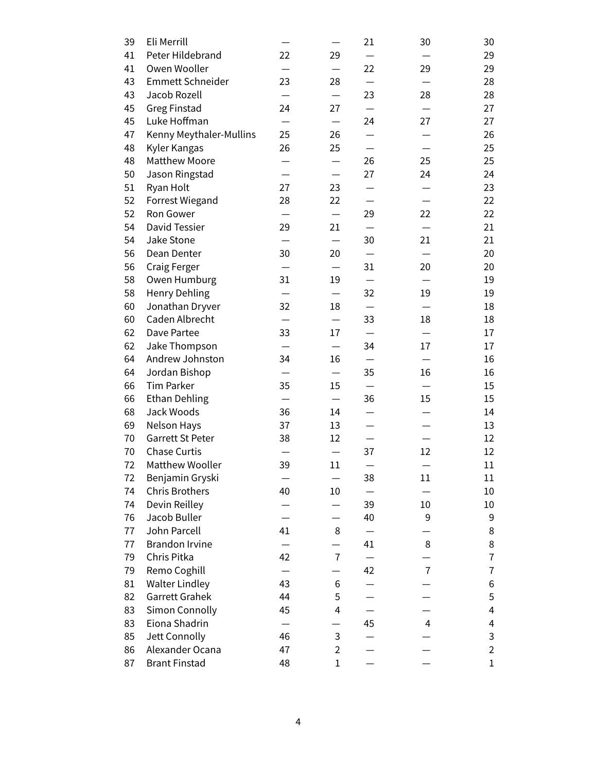| 39 | Eli Merrill             |                          |                | 21              | 30             | 30                |
|----|-------------------------|--------------------------|----------------|-----------------|----------------|-------------------|
| 41 | Peter Hildebrand        | 22                       | 29             |                 |                | 29                |
| 41 | Owen Wooller            |                          |                | 22              | 29             | 29                |
| 43 | <b>Emmett Schneider</b> | 23                       | 28             | $\qquad \qquad$ |                | 28                |
| 43 | Jacob Rozell            |                          |                | 23              | 28             | 28                |
| 45 | <b>Greg Finstad</b>     | 24                       | 27             |                 |                | 27                |
| 45 | Luke Hoffman            |                          |                | 24              | 27             | 27                |
| 47 | Kenny Meythaler-Mullins | 25                       | 26             |                 |                | 26                |
| 48 | Kyler Kangas            | 26                       | 25             |                 |                | 25                |
| 48 | <b>Matthew Moore</b>    |                          |                | 26              | 25             | 25                |
| 50 | Jason Ringstad          |                          |                | 27              | 24             | 24                |
| 51 | Ryan Holt               | 27                       | 23             |                 |                | 23                |
| 52 | <b>Forrest Wiegand</b>  | 28                       | 22             |                 |                | 22                |
| 52 | Ron Gower               |                          |                | 29              | 22             | 22                |
| 54 | David Tessier           | 29                       | 21             |                 |                | 21                |
| 54 | Jake Stone              |                          |                | 30              | 21             | 21                |
| 56 | Dean Denter             | 30                       | 20             |                 |                | 20                |
| 56 | Craig Ferger            | —                        | —              | 31              | 20             | 20                |
| 58 | Owen Humburg            | 31                       | 19             |                 |                | 19                |
| 58 | <b>Henry Dehling</b>    |                          |                | 32              | 19             | 19                |
| 60 | Jonathan Dryver         | 32                       | 18             |                 |                | 18                |
| 60 | Caden Albrecht          |                          |                | 33              | 18             | 18                |
| 62 | Dave Partee             | 33                       | 17             |                 |                | 17                |
| 62 | Jake Thompson           |                          |                | 34              | 17             | 17                |
| 64 | Andrew Johnston         | 34                       | 16             |                 |                | 16                |
| 64 | Jordan Bishop           | $\overline{\phantom{0}}$ | —              | 35              | 16             | 16                |
| 66 | <b>Tim Parker</b>       | 35                       | 15             |                 |                | 15                |
| 66 | <b>Ethan Dehling</b>    |                          |                | 36              | 15             | 15                |
| 68 | Jack Woods              | 36                       | 14             |                 |                | 14                |
| 69 | Nelson Hays             | 37                       | 13             |                 |                | 13                |
| 70 | Garrett St Peter        | 38                       | 12             |                 |                | $12 \overline{ }$ |
| 70 | <b>Chase Curtis</b>     |                          |                | 37              | 12             | 12                |
| 72 | <b>Matthew Wooller</b>  | 39                       | 11             |                 |                | 11                |
| 72 | Benjamin Gryski         |                          |                | 38              | 11             | 11                |
| 74 | <b>Chris Brothers</b>   | 40                       | 10             |                 |                | 10                |
| 74 | Devin Reilley           |                          |                | 39              | 10             | 10                |
| 76 | Jacob Buller            |                          |                | 40              | 9              | 9                 |
| 77 | John Parcell            | 41                       | 8              |                 |                | 8                 |
| 77 | <b>Brandon Irvine</b>   |                          |                | 41              | 8              | 8                 |
| 79 | Chris Pitka             | 42                       | $\overline{7}$ |                 |                | $\bf 7$           |
| 79 | Remo Coghill            |                          |                | 42              | $\overline{7}$ | $\overline{7}$    |
| 81 | <b>Walter Lindley</b>   | 43                       | 6              |                 |                | 6                 |
| 82 | Garrett Grahek          | 44                       | 5              |                 |                | 5                 |
| 83 | Simon Connolly          | 45                       | 4              |                 |                | 4                 |
| 83 | Eiona Shadrin           |                          |                | 45              | 4              | 4                 |
| 85 | Jett Connolly           | 46                       | 3              |                 |                | 3                 |
| 86 | Alexander Ocana         | 47                       | 2              |                 |                | $\overline{2}$    |
| 87 | <b>Brant Finstad</b>    | 48                       | $\mathbf 1$    |                 |                | $\mathbf 1$       |